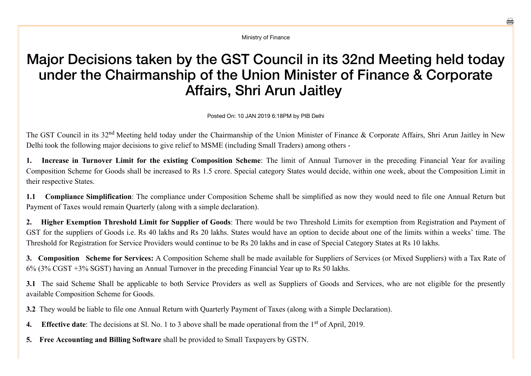Ministry of Finance

## Major Decisions taken by the GST Council in its 32nd Meeting held today under the Chairmanship of the Union Minister of Finance & Corporate Affairs, Shri Arun Jaitley

Posted On: 10 JAN 2019 6:18PM by PIB Delhi

The GST Council in its 32<sup>nd</sup> Meeting held today under the Chairmanship of the Union Minister of Finance & Corporate Affairs, Shri Arun Jaitley in New Delhi took the following major decisions to give relief to MSME (including Small Traders) among others

1. Increase in Turnover Limit for the existing Composition Scheme: The limit of Annual Turnover in the preceding Financial Year for availing Composition Scheme for Goods shall be increased to Rs 1.5 crore. Special category States would decide, within one week, about the Composition Limit in their respective States.

**1.1 Compliance Simplification**: The compliance under Composition Scheme shall be simplified as now they would need to file one Annual Return but Payment of Taxes would remain Quarterly (along with a simple declaration).

**2. Higher Exemption Threshold Limit for Supplier of Goods**: There would be two Threshold Limits for exemption from Registration and Payment of GST for the suppliers of Goods i.e. Rs 40 lakhs and Rs 20 lakhs. States would have an option to decide about one of the limits within a weeks' time. The Threshold for Registration for Service Providers would continue to be Rs 20 lakhs and in case of Special Category States at Rs 10 lakhs.

**3. Composition Scheme for Services:** A Composition Scheme shall be made available for Suppliers of Services (or Mixed Suppliers) with a Tax Rate of 6% (3% CGST +3% SGST) having an Annual Turnover in the preceding Financial Year up to Rs 50 lakhs.

**3.1** The said Scheme Shall be applicable to both Service Providers as well as Suppliers of Goods and Services, who are not eligible for the presently available Composition Scheme for Goods.

**3.2** They would be liable to file one Annual Return with Quarterly Payment of Taxes (along with a Simple Declaration).

4. Effective date: The decisions at Sl. No. 1 to 3 above shall be made operational from the 1<sup>st</sup> of April, 2019.

**5. Free Accounting and Billing Software** shall be provided to Small Taxpayers by GSTN.